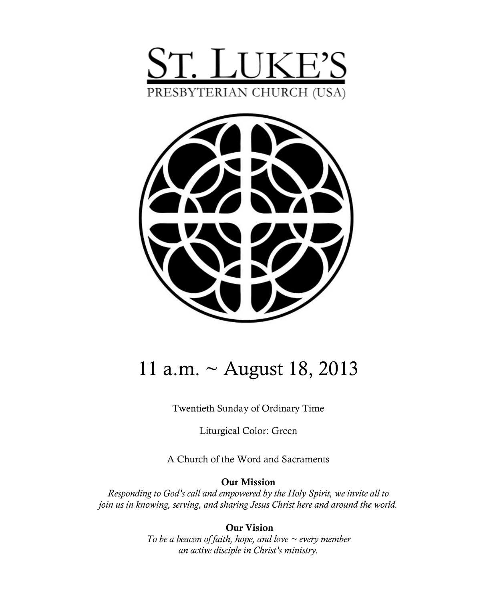



# 11 a.m. ~ August 18, 2013

Twentieth Sunday of Ordinary Time

Liturgical Color: Green

A Church of the Word and Sacraments

#### **Our Mission**

*Responding to God's call and empowered by the Holy Spirit, we invite all to join us in knowing, serving, and sharing Jesus Christ here and around the world.*

> **Our Vision** *To be a beacon of faith, hope, and love ~ every member an active disciple in Christ's ministry.*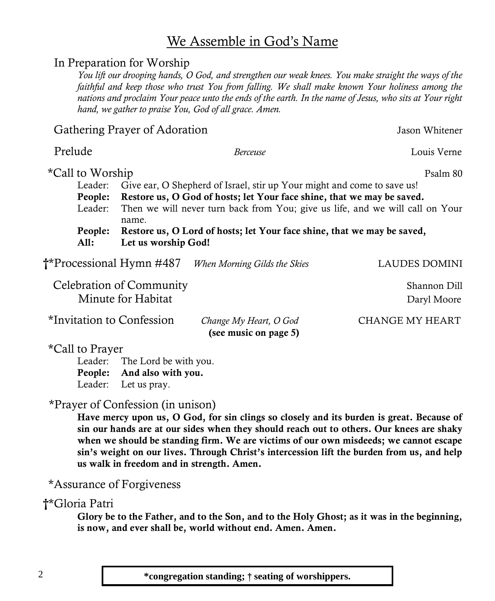### We Assemble in God's Name

#### In Preparation for Worship

*You lift our drooping hands, O God, and strengthen our weak knees. You make straight the ways of the faithful and keep those who trust You from falling. We shall make known Your holiness among the nations and proclaim Your peace unto the ends of the earth. In the name of Jesus, who sits at Your right hand, we gather to praise You, God of all grace. Amen.*

Gathering Prayer of Adoration Jason Whitener

| Prelude                         |                                                                                        | Berceuse                     | Louis Verne   |  |  |
|---------------------------------|----------------------------------------------------------------------------------------|------------------------------|---------------|--|--|
| *Call to Worship                |                                                                                        |                              | Psalm 80      |  |  |
| Leader:                         | Give ear, O Shepherd of Israel, stir up Your might and come to save us!                |                              |               |  |  |
| People:                         | Restore us, O God of hosts; let Your face shine, that we may be saved.                 |                              |               |  |  |
| Leader:                         | Then we will never turn back from You; give us life, and we will call on Your<br>name. |                              |               |  |  |
| People:                         | Restore us, O Lord of hosts; let Your face shine, that we may be saved,                |                              |               |  |  |
| All:                            | Let us worship God!                                                                    |                              |               |  |  |
| <b>†*Processional Hymn #487</b> |                                                                                        | When Morning Gilds the Skies | LAUDES DOMINI |  |  |

| <b>Celebration of Community</b> |                        | Shannon Dill    |  |
|---------------------------------|------------------------|-----------------|--|
| Minute for Habitat              |                        | Daryl Moore     |  |
| *Invitation to Confession       | Change My Heart, O God | CHANGE MY HEART |  |

**(see music on page 5)**

\*Call to Prayer

Leader: The Lord be with you. **People: And also with you.** Leader: Let us pray.

#### \*Prayer of Confession (in unison)

**Have mercy upon us, O God, for sin clings so closely and its burden is great. Because of sin our hands are at our sides when they should reach out to others. Our knees are shaky when we should be standing firm. We are victims of our own misdeeds; we cannot escape sin's weight on our lives. Through Christ's intercession lift the burden from us, and help us walk in freedom and in strength. Amen.**

#### \*Assurance of Forgiveness

#### **†**\*Gloria Patri

**Glory be to the Father, and to the Son, and to the Holy Ghost; as it was in the beginning, is now, and ever shall be, world without end. Amen. Amen.**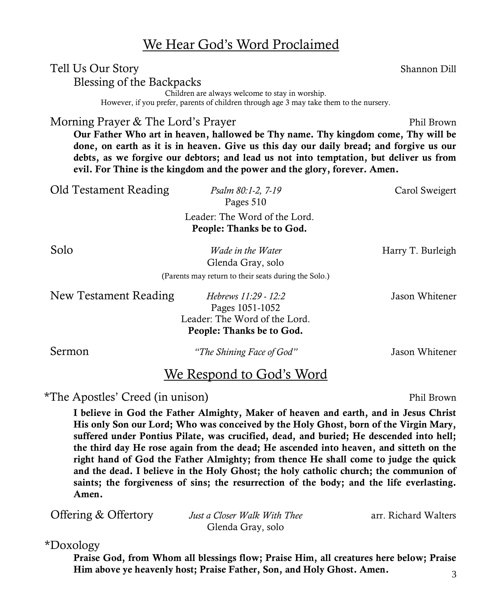### We Hear God's Word Proclaimed

Tell Us Our Story Shannon Dill

Blessing of the Backpacks

Children are always welcome to stay in worship.

However, if you prefer, parents of children through age 3 may take them to the nursery.

Morning Prayer & The Lord's Prayer Phil Brown

**Our Father Who art in heaven, hallowed be Thy name. Thy kingdom come, Thy will be done, on earth as it is in heaven. Give us this day our daily bread; and forgive us our debts, as we forgive our debtors; and lead us not into temptation, but deliver us from evil. For Thine is the kingdom and the power and the glory, forever. Amen.**

Old Testament Reading *Psalm 80:1-2, 7-19* Carol Sweigert Pages 510 Leader: The Word of the Lord. **People: Thanks be to God. Solo** *Wade in the Water* Harry T. Burleigh Glenda Gray, solo (Parents may return to their seats during the Solo.) New Testament Reading *Hebrews 11:29 - 12:2* Jason Whitener Pages 1051-1052 Leader: The Word of the Lord. **People: Thanks be to God.** Sermon *"The Shining Face of God"* Jason Whitener

### We Respond to God's Word

\*The Apostles' Creed (in unison) Phil Brown

**I believe in God the Father Almighty, Maker of heaven and earth, and in Jesus Christ His only Son our Lord; Who was conceived by the Holy Ghost, born of the Virgin Mary, suffered under Pontius Pilate, was crucified, dead, and buried; He descended into hell; the third day He rose again from the dead; He ascended into heaven, and sitteth on the right hand of God the Father Almighty; from thence He shall come to judge the quick and the dead. I believe in the Holy Ghost; the holy catholic church; the communion of saints; the forgiveness of sins; the resurrection of the body; and the life everlasting. Amen.**

**Offering & Offertory** *Just a Closer Walk With Thee* arr. Richard Walters Glenda Gray, solo

\*Doxology

**Praise God, from Whom all blessings flow; Praise Him, all creatures here below; Praise Him above ye heavenly host; Praise Father, Son, and Holy Ghost. Amen.**

#### 3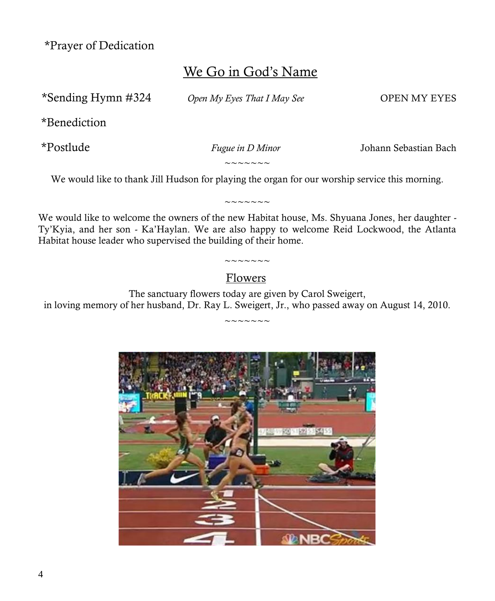\*Prayer of Dedication

## We Go in God's Name

\*Sending Hymn #324 *Open My Eyes That I May See* OPEN MY EYES

\*Benediction

\*Postlude *Fugue in D Minor* Johann Sebastian Bach

 $\sim\sim\sim\sim\sim\sim$ 

We would like to thank Jill Hudson for playing the organ for our worship service this morning.

 $\sim$   $\sim$   $\sim$   $\sim$   $\sim$   $\sim$ 

We would like to welcome the owners of the new Habitat house, Ms. Shyuana Jones, her daughter - Ty'Kyia, and her son - Ka'Haylan. We are also happy to welcome Reid Lockwood, the Atlanta Habitat house leader who supervised the building of their home.

### $\sim\sim\sim\sim\sim\sim\sim$ Flowers

The sanctuary flowers today are given by Carol Sweigert, in loving memory of her husband, Dr. Ray L. Sweigert, Jr., who passed away on August 14, 2010.  $\sim\sim\sim\sim\sim\sim$ 

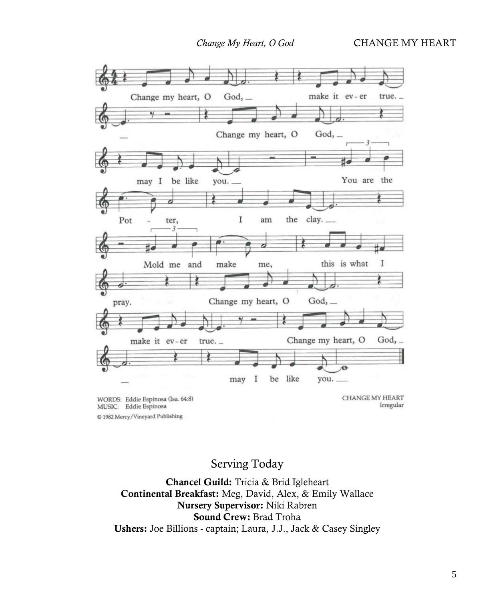*Change My Heart, O God* **CHANGE MY HEART** 



Serving Today

**Chancel Guild:** Tricia & Brid Igleheart **Continental Breakfast:** Meg, David, Alex, & Emily Wallace **Nursery Supervisor:** Niki Rabren **Sound Crew:** Brad Troha **Ushers:** Joe Billions - captain; Laura, J.J., Jack & Casey Singley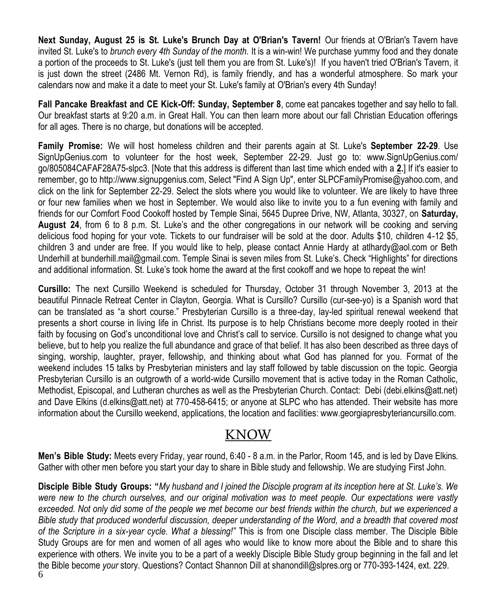**Next Sunday, August 25 is St. Luke's Brunch Day at O'Brian's Tavern!** Our friends at O'Brian's Tavern have invited St. Luke's to *brunch every 4th Sunday of the month.* It is a win-win! We purchase yummy food and they donate a portion of the proceeds to St. Luke's (just tell them you are from St. Luke's)! If you haven't tried O'Brian's Tavern, it is just down the street (2486 Mt. Vernon Rd), is family friendly, and has a wonderful atmosphere. So mark your calendars now and make it a date to meet your St. Luke's family at O'Brian's every 4th Sunday!

**Fall Pancake Breakfast and CE Kick-Off: Sunday, September 8**, come eat pancakes together and say hello to fall. Our breakfast starts at 9:20 a.m. in Great Hall. You can then learn more about our fall Christian Education offerings for all ages. There is no charge, but donations will be accepted.

**Family Promise:** We will host homeless children and their parents again at St. Luke's **September 22-29**. Use [SignUpGenius.com](http://signupgenius.com/) to volunteer for the host week, September 22-29. Just go to: [www.SignUpGenius.com/](http://www.signupgenius.com/go/805084CAFAF28A75-slpc3) [go/805084CAFAF28A75-slpc3.](http://www.signupgenius.com/go/805084CAFAF28A75-slpc3) [Note that this address is different than last time which ended with a **2.**] If it's easier to remember, go to [http://www.signupgenius.com,](http://www.signupgenius.com/) Select "Find A Sign Up", enter [SLPCFamilyPromise@yahoo.com,](mailto:SLPCFamilyPromise@yahoo.com) and click on the link for September 22-29. Select the slots where you would like to volunteer. We are likely to have three or four new families when we host in September. We would also like to invite you to a fun evening with family and friends for our Comfort Food Cookoff hosted by Temple Sinai, 5645 Dupree Drive, NW, Atlanta, 30327, on **Saturday, August 24**, from 6 to 8 p.m. St. Luke's and the other congregations in our network will be cooking and serving delicious food hoping for your vote. Tickets to our fundraiser will be sold at the door. Adults \$10, children 4-12 \$5, children 3 and under are free. If you would like to help, please contact Annie Hardy at atlhardy@aol.com or Beth Underhill at bunderhill.mail@gmail.com. Temple Sinai is seven miles from St. Luke's. Check "Highlights" for directions and additional information. St. Luke's took home the award at the first cookoff and we hope to repeat the win!

**Cursillo:** The next Cursillo Weekend is scheduled for Thursday, October 31 through November 3, 2013 at the beautiful Pinnacle Retreat Center in Clayton, Georgia. What is Cursillo? Cursillo (cur-see-yo) is a Spanish word that can be translated as "a short course." Presbyterian Cursillo is a three-day, lay-led spiritual renewal weekend that presents a short course in living life in Christ. Its purpose is to help Christians become more deeply rooted in their faith by focusing on God's unconditional love and Christ's call to service. Cursillo is not designed to change what you believe, but to help you realize the full abundance and grace of that belief. It has also been described as three days of singing, worship, laughter, prayer, fellowship, and thinking about what God has planned for you. Format of the weekend includes 15 talks by Presbyterian ministers and lay staff followed by table discussion on the topic. Georgia Presbyterian Cursillo is an outgrowth of a world-wide Cursillo movement that is active today in the Roman Catholic, Methodist, Episcopal, and Lutheran churches as well as the Presbyterian Church. Contact: Debi ([debi.elkins@att.net\)](mailto:debi.elkins@att.net)  and Dave Elkins ([d.elkins@att.net\)](mailto:d.elkins@att.net) at 770-458-6415; or anyone at SLPC who has attended. Their website has more information about the Cursillo weekend, applications, the location and facilities: [www.g](http://www.signupgenius.com/go/805084CAFAF28A75-slpc3)eorgiapresbyteriancursillo.com.

## KNOW

**Men's Bible Study:** Meets every Friday, year round, 6:40 - 8 a.m. in the Parlor, Room 145, and is led by Dave Elkins. Gather with other men before you start your day to share in Bible study and fellowship. We are studying First John.

6 **Disciple Bible Study Groups: "***My husband and I joined the Disciple program at its inception here at St. Luke's. We were new to the church ourselves, and our original motivation was to meet people. Our expectations were vastly exceeded. Not only did some of the people we met become our best friends within the church, but we experienced a Bible study that produced wonderful discussion, deeper understanding of the Word, and a breadth that covered most of the Scripture in a six-year cycle. What a blessing!"* This is from one Disciple class member. The Disciple Bible Study Groups are for men and women of all ages who would like to know more about the Bible and to share this experience with others. We invite you to be a part of a weekly Disciple Bible Study group beginning in the fall and let the Bible become *your* story. Questions? Contact Shannon Dill at shanondill@slpres.org or 770-393-1424, ext. 229.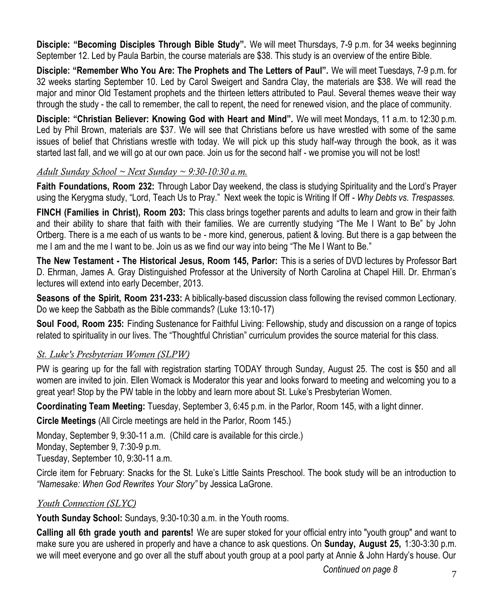**Disciple: "Becoming Disciples Through Bible Study".** We will meet Thursdays, 7-9 p.m. for 34 weeks beginning September 12. Led by Paula Barbin, the course materials are \$38. This study is an overview of the entire Bible.

**Disciple: "Remember Who You Are: The Prophets and The Letters of Paul".** We will meet Tuesdays, 7-9 p.m. for 32 weeks starting September 10. Led by Carol Sweigert and Sandra Clay, the materials are \$38. We will read the major and minor Old Testament prophets and the thirteen letters attributed to Paul. Several themes weave their way through the study - the call to remember, the call to repent, the need for renewed vision, and the place of community.

**Disciple: "Christian Believer: Knowing God with Heart and Mind".** We will meet Mondays, 11 a.m. to 12:30 p.m. Led by Phil Brown, materials are \$37. We will see that Christians before us have wrestled with some of the same issues of belief that Christians wrestle with today. We will pick up this study half-way through the book, as it was started last fall, and we will go at our own pace. Join us for the second half - we promise you will not be lost!

#### *Adult Sunday School ~ Next Sunday ~ 9:30-10:30 a.m.*

**Faith Foundations, Room 232:** Through Labor Day weekend, the class is studying Spirituality and the Lord's Prayer using the Kerygma study, "Lord, Teach Us to Pray." Next week the topic is Writing If Off - *Why Debts vs. Trespasses.*

**FINCH (Families in Christ), Room 203:** This class brings together parents and adults to learn and grow in their faith and their ability to share that faith with their families. We are currently studying "The Me I Want to Be" by John Ortberg. There is a me each of us wants to be - more kind, generous, patient & loving. But there is a gap between the me I am and the me I want to be. Join us as we find our way into being "The Me I Want to Be."

**The New Testament - The Historical Jesus, Room 145, Parlor:** This is a series of DVD lectures by Professor Bart D. Ehrman, James A. Gray Distinguished Professor at the University of North Carolina at Chapel Hill. Dr. Ehrman's lectures will extend into early December, 2013.

**Seasons of the Spirit, Room 231-233:** A biblically-based discussion class following the revised common Lectionary. Do we keep the Sabbath as the Bible commands? (Luke 13:10-17)

**Soul Food, Room 235:** Finding Sustenance for Faithful Living: Fellowship, study and discussion on a range of topics related to spirituality in our lives. The "Thoughtful Christian" curriculum provides the source material for this class.

#### *St. Luke's Presbyterian Women (SLPW)*

PW is gearing up for the fall with registration starting TODAY through Sunday, August 25. The cost is \$50 and all women are invited to join. Ellen Womack is Moderator this year and looks forward to meeting and welcoming you to a great year! Stop by the PW table in the lobby and learn more about St. Luke's Presbyterian Women.

**Coordinating Team Meeting:** Tuesday, September 3, 6:45 p.m. in the Parlor, Room 145, with a light dinner.

**Circle Meetings** (All Circle meetings are held in the Parlor, Room 145.)

Monday, September 9, 9:30-11 a.m. (Child care is available for this circle.) Monday, September 9, 7:30-9 p.m. Tuesday, September 10, 9:30-11 a.m.

Circle item for February: Snacks for the St. Luke's Little Saints Preschool. The book study will be an introduction to *"Namesake: When God Rewrites Your Story"* by Jessica LaGrone.

#### *Youth Connection (SLYC)*

**Youth Sunday School:** Sundays, 9:30-10:30 a.m. in the Youth rooms.

**Calling all 6th grade youth and parents!** We are super stoked for your official entry into "youth group" and want to make sure you are ushered in properly and have a chance to ask questions. On **Sunday, August 25,** 1:30-3:30 p.m. we will meet everyone and go over all the stuff about youth group at a pool party at Annie & John Hardy's house. Our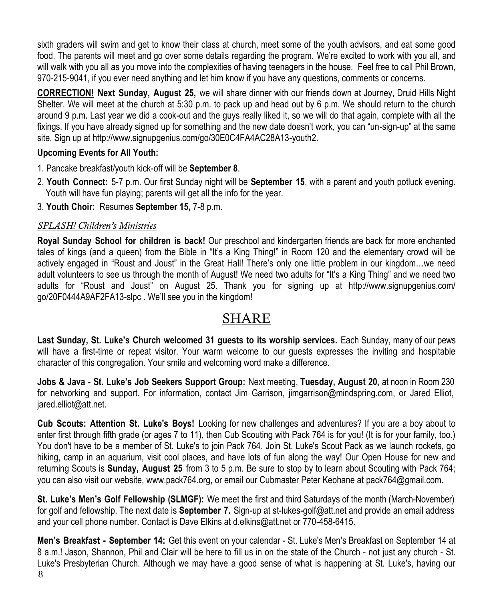sixth graders will swim and get to know their class at church, meet some of the youth advisors, and eat some good food. The parents will meet and go over some details regarding the program. We're excited to work with you all, and will walk with you all as you move into the complexities of having teenagers in the house. Feel free to call Phil Brown, 970-215-9041, if you ever need anything and let him know if you have any questions, comments or concerns.

**CORRECTION! Next Sunday, August 25,** we will share dinner with our friends down at Journey, Druid Hills Night Shelter. We will meet at the church at 5:30 p.m. to pack up and head out by 6 p.m. We should return to the church around 9 p.m. Last year we did a cook-out and the guys really liked it, so we will do that again, complete with all the fixings. If you have already signed up for something and the new date doesn't work, you can "un-sign-up" at the same site. Sign up at [http://www.signupgenius.com/go/30E0C4FA4AC28A13-youth2.](http://www.signupgenius.com/go/30E0C4FA4AC28A13-youth2)

#### **Upcoming Events for All Youth:**

- 1. Pancake breakfast/youth kick-off will be **September 8**.
- 2. **Youth Connect:** 5-7 p.m. Our first Sunday night will be **September 15**, with a parent and youth potluck evening. Youth will have fun playing; parents will get all the info for the year.
- 3. **Youth Choir:** Resumes **September 15,** 7-8 p.m.

#### *SPLASH! Children's Ministries*

**Royal Sunday School for children is back!** Our preschool and kindergarten friends are back for more enchanted tales of kings (and a queen) from the Bible in "It's a King Thing!" in Room 120 and the elementary crowd will be actively engaged in "Roust and Joust" in the Great Hall! There's only one little problem in our kingdom…we need adult volunteers to see us through the month of August! We need two adults for "It's a King Thing" and we need two adults for "Roust and Joust" on August 25. Thank you for signing up at http://www.signupgenius.com/ go/20F0444A9AF2FA13-slpc . We'll see you in the kingdom!

## SHARE

**Last Sunday, St. Luke's Church welcomed 31 guests to its worship services.** Each Sunday, many of our pews will have a first-time or repeat visitor. Your warm welcome to our guests expresses the inviting and hospitable character of this congregation. Your smile and welcoming word make a difference.

**Jobs & Java - St. Luke's Job Seekers Support Group:** Next meeting, **Tuesday, August 20,** at noon in Room 230 for networking and support. For information, contact Jim Garrison, jimgarrison@mindspring.com, or Jared Elliot, jared.elliot@att.net.

**Cub Scouts: Attention St. Luke's Boys!** Looking for new challenges and adventures? If you are a boy about to enter first through fifth grade (or ages 7 to 11), then Cub Scouting with Pack 764 is for you! (It is for your family, too.) You don't have to be a member of St. Luke's to join Pack 764. Join St. Luke's Scout Pack as we launch rockets, go hiking, camp in an aquarium, visit cool places, and have lots of fun along the way! Our Open House for new and returning Scouts is **Sunday, August 25** from 3 to 5 p.m. Be sure to stop by to learn about Scouting with Pack 764; you can also visit our website, [www.pack764.org,](http://www.pack764.org/) or email our Cubmaster Peter Keohane at [pack764@gmail.com.](mailto:pack764@gmail.com)

**St. Luke's Men's Golf Fellowship (SLMGF):** We meet the first and third Saturdays of the month (March-November) for golf and fellowship. The next date is **September 7.** Sign-up at st-lukes-golf@att.net and provide an email address and your cell phone number. Contact is Dave Elkins at d.elkins@att.net or 770-458-6415.

8 **Men's Breakfast - September 14:** Get this event on your calendar - St. Luke's Men's Breakfast on September 14 at 8 a.m.! Jason, Shannon, Phil and Clair will be here to fill us in on the state of the Church - not just any church - St. Luke's Presbyterian Church. Although we may have a good sense of what is happening at St. Luke's, having our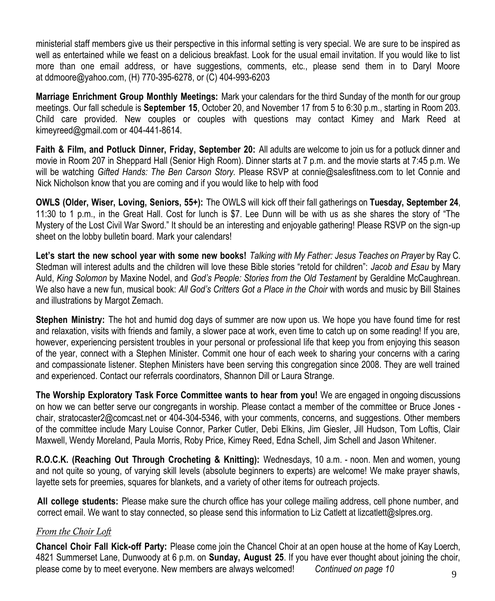ministerial staff members give us their perspective in this informal setting is very special. We are sure to be inspired as well as entertained while we feast on a delicious breakfast. Look for the usual email invitation. If you would like to list more than one email address, or have suggestions, comments, etc., please send them in to Daryl Moore at [ddmoore@yahoo.com,](mailto:ddmoore@yahoo.com) (H) 770-395-6278, or (C) 404-993-6203

**Marriage Enrichment Group Monthly Meetings:** Mark your calendars for the third Sunday of the month for our group meetings. Our fall schedule is **September 15**, October 20, and November 17 from 5 to 6:30 p.m., starting in Room 203. Child care provided. New couples or couples with questions may contact Kimey and Mark Reed at kimeyreed@gmail.com or 404-441-8614.

**Faith & Film, and Potluck Dinner, Friday, September 20:** All adults are welcome to join us for a potluck dinner and movie in Room 207 in Sheppard Hall (Senior High Room). Dinner starts at 7 p.m. and the movie starts at 7:45 p.m. We will be watching *Gifted Hands: The Ben Carson Story.* Please RSVP at connie@salesfitness.com to let Connie and Nick Nicholson know that you are coming and if you would like to help with food

**OWLS (Older, Wiser, Loving, Seniors, 55+):** The OWLS will kick off their fall gatherings on **Tuesday, September 24**, 11:30 to 1 p.m., in the Great Hall. Cost for lunch is \$7. Lee Dunn will be with us as she shares the story of "The Mystery of the Lost Civil War Sword." It should be an interesting and enjoyable gathering! Please RSVP on the sign-up sheet on the lobby bulletin board. Mark your calendars!

Let's start the new school year with some new books! Talking with My Father: Jesus Teaches on Prayer by Ray C. Stedman will interest adults and the children will love these Bible stories "retold for children": *Jacob and Esau* by Mary Auld, *King Solomon* by Maxine Nodel, and *God's People: Stories from the Old Testament* by Geraldine McCaughrean. We also have a new fun, musical book: *All God's Critters Got a Place in the Choir* with words and music by Bill Staines and illustrations by Margot Zemach.

**Stephen Ministry:** The hot and humid dog days of summer are now upon us. We hope you have found time for rest and relaxation, visits with friends and family, a slower pace at work, even time to catch up on some reading! If you are, however, experiencing persistent troubles in your personal or professional life that keep you from enjoying this season of the year, connect with a Stephen Minister. Commit one hour of each week to sharing your concerns with a caring and compassionate listener. Stephen Ministers have been serving this congregation since 2008. They are well trained and experienced. Contact our referrals coordinators, Shannon Dill or Laura Strange.

**The Worship Exploratory Task Force Committee wants to hear from you!** We are engaged in ongoing discussions on how we can better serve our congregants in worship. Please contact a member of the committee or Bruce Jones chair, [stratocaster2@comcast.net](mailto:stratocaster2@comcast.net) or 404-304-5346, with your comments, concerns, and suggestions. Other members of the committee include Mary Louise Connor, Parker Cutler, Debi Elkins, Jim Giesler, Jill Hudson, Tom Loftis, Clair Maxwell, Wendy Moreland, Paula Morris, Roby Price, Kimey Reed, Edna Schell, Jim Schell and Jason Whitener.

**R.O.C.K. (Reaching Out Through Crocheting & Knitting):** Wednesdays, 10 a.m. - noon. Men and women, young and not quite so young, of varying skill levels (absolute beginners to experts) are welcome! We make prayer shawls, layette sets for preemies, squares for blankets, and a variety of other items for outreach projects.

**All college students:** Please make sure the church office has your college mailing address, cell phone number, and correct email. We want to stay connected, so please send this information to Liz Catlett at lizcatlett@slpres.org.

#### *From the Choir Loft*

**Chancel Choir Fall Kick-off Party:** Please come join the Chancel Choir at an open house at the home of Kay Loerch, 4821 Summerset Lane, Dunwoody at 6 p.m. on **Sunday, August 25**. If you have ever thought about joining the choir, please come by to meet everyone. New members are always welcomed! *Continued on page 10*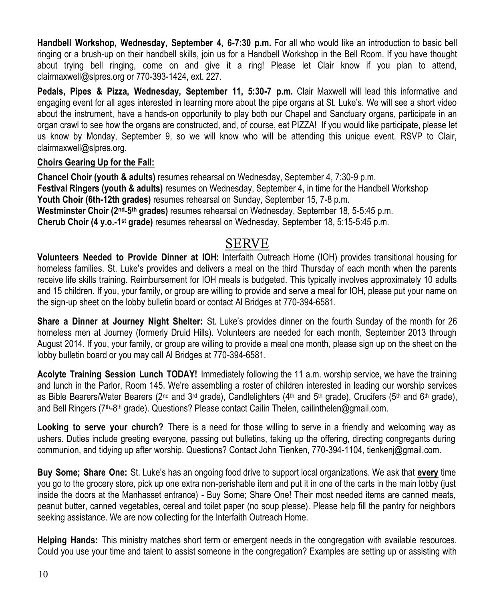**Handbell Workshop, Wednesday, September 4, 6-7:30 p.m.** For all who would like an introduction to basic bell ringing or a brush-up on their handbell skills, join us for a Handbell Workshop in the Bell Room. If you have thought about trying bell ringing, come on and give it a ring! Please let Clair know if you plan to attend, [clairmaxwell@slpres.org](mailto:clairmaxwell@slpres.org) or 770-393-1424, ext. 227.

**Pedals, Pipes & Pizza, Wednesday, September 11, 5:30-7 p.m.** Clair Maxwell will lead this informative and engaging event for all ages interested in learning more about the pipe organs at St. Luke's. We will see a short video about the instrument, have a hands-on opportunity to play both our Chapel and Sanctuary organs, participate in an organ crawl to see how the organs are constructed, and, of course, eat PIZZA! If you would like participate, please let us know by Monday, September 9, so we will know who will be attending this unique event. RSVP to Clair, [clairmaxwell@slpres.org.](mailto:clairmaxwell@slpres.org)

#### **Choirs Gearing Up for the Fall:**

**Chancel Choir (youth & adults)** resumes rehearsal on Wednesday, September 4, 7:30-9 p.m. **Festival Ringers (youth & adults)** resumes on Wednesday, September 4, in time for the Handbell Workshop **Youth Choir (6th-12th grades)** resumes rehearsal on Sunday, September 15, 7-8 p.m. **Westminster Choir (2nd-5 th grades)** resumes rehearsal on Wednesday, September 18, 5-5:45 p.m. **Cherub Choir (4 y.o.-1 st grade)** resumes rehearsal on Wednesday, September 18, 5:15-5:45 p.m.

## SERVE

**Volunteers Needed to Provide Dinner at IOH:** Interfaith Outreach Home (IOH) provides transitional housing for homeless families. St. Luke's provides and delivers a meal on the third Thursday of each month when the parents receive life skills training. Reimbursement for IOH meals is budgeted. This typically involves approximately 10 adults and 15 children. If you, your family, or group are willing to provide and serve a meal for IOH, please put your name on the sign-up sheet on the lobby bulletin board or contact Al Bridges at 770-394-6581.

**Share a Dinner at Journey Night Shelter:** St. Luke's provides dinner on the fourth Sunday of the month for 26 homeless men at Journey (formerly Druid Hills). Volunteers are needed for each month, September 2013 through August 2014. If you, your family, or group are willing to provide a meal one month, please sign up on the sheet on the lobby bulletin board or you may call Al Bridges at 770-394-6581.

**Acolyte Training Session Lunch TODAY!** Immediately following the 11 a.m. worship service, we have the training and lunch in the Parlor, Room 145. We're assembling a roster of children interested in leading our worship services as Bible Bearers/Water Bearers (2<sup>nd</sup> and 3<sup>rd</sup> grade), Candlelighters (4<sup>th</sup> and 5<sup>th</sup> grade), Crucifers (5<sup>th</sup> and 6<sup>th</sup> grade), and Bell Ringers (7<sup>th</sup>-8<sup>th</sup> grade). Questions? Please contact Cailin Thelen, [cailinthelen@gmail.com.](mailto:cailinthelen@gmail.com)

**Looking to serve your church?** There is a need for those willing to serve in a friendly and welcoming way as ushers. Duties include greeting everyone, passing out bulletins, taking up the offering, directing congregants during communion, and tidying up after worship. Questions? Contact John Tienken, 770-394-1104, tienkenj@gmail.com.

**Buy Some; Share One:** St. Luke's has an ongoing food drive to support local organizations. We ask that **every** time you go to the grocery store, pick up one extra non-perishable item and put it in one of the carts in the main lobby (just inside the doors at the Manhasset entrance) - Buy Some; Share One! Their most needed items are canned meats, peanut butter, canned vegetables, cereal and toilet paper (no soup please). Please help fill the pantry for neighbors seeking assistance. We are now collecting for the Interfaith Outreach Home.

**Helping Hands:** This ministry matches short term or emergent needs in the congregation with available resources. Could you use your time and talent to assist someone in the congregation? Examples are setting up or assisting with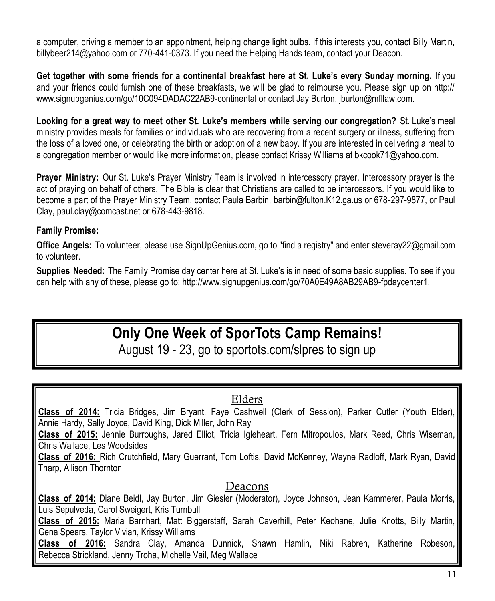a computer, driving a member to an appointment, helping change light bulbs. If this interests you, contact Billy Martin, billybeer214@yahoo.com or 770-441-0373. If you need the Helping Hands team, contact your Deacon.

**Get together with some friends for a continental breakfast here at St. Luke's every Sunday morning.** If you and your friends could furnish one of these breakfasts, we will be glad to reimburse you. Please sign up on http:// www.signupgenius.com/go/10C094DADAC22AB9-continental or contact Jay Burton, jburton@mfllaw.com.

**Looking for a great way to meet other St. Luke's members while serving our congregation?** St. Luke's meal ministry provides meals for families or individuals who are recovering from a recent surgery or illness, suffering from the loss of a loved one, or celebrating the birth or adoption of a new baby. If you are interested in delivering a meal to a congregation member or would like more information, please contact Krissy Williams at bkcook71@yahoo.com.

**Prayer Ministry:** Our St. Luke's Prayer Ministry Team is involved in intercessory prayer. Intercessory prayer is the act of praying on behalf of others. The Bible is clear that Christians are called to be intercessors. If you would like to become a part of the Prayer Ministry Team, contact Paula Barbin, barbin@fulton.K12.ga.us or 678-297-9877, or Paul Clay, paul.clay@comcast.net or 678-443-9818.

#### **Family Promise:**

**Office Angels:** To volunteer, please use SignUpGenius.com, go to "find a registry" and enter [steveray22@gmail.com](mailto:steveray22@gmail.com) to volunteer.

**Supplies Needed:** The Family Promise day center here at St. Luke's is in need of some basic supplies. To see if you can help with any of these, please go to: http://www.signupgenius.com/go/70A0E49A8AB29AB9-fpdaycenter1.

# **Only One Week of SporTots Camp Remains!**

August 19 - 23, go to sportots.com/slpres to sign up

#### Elders

**Class of 2014:** Tricia Bridges, Jim Bryant, Faye Cashwell (Clerk of Session), Parker Cutler (Youth Elder), Annie Hardy, Sally Joyce, David King, Dick Miller, John Ray

**Class of 2015:** Jennie Burroughs, Jared Elliot, Tricia Igleheart, Fern Mitropoulos, Mark Reed, Chris Wiseman, Chris Wallace, Les Woodsides

**Class of 2016:** Rich Crutchfield, Mary Guerrant, Tom Loftis, David McKenney, Wayne Radloff, Mark Ryan, David Tharp, Allison Thornton

#### Deacons

**Class of 2014:** Diane Beidl, Jay Burton, Jim Giesler (Moderator), Joyce Johnson, Jean Kammerer, Paula Morris, Luis Sepulveda, Carol Sweigert, Kris Turnbull

**Class of 2015:** Maria Barnhart, Matt Biggerstaff, Sarah Caverhill, Peter Keohane, Julie Knotts, Billy Martin, Gena Spears, Taylor Vivian, Krissy Williams

**Class of 2016:** Sandra Clay, Amanda Dunnick, Shawn Hamlin, Niki Rabren, Katherine Robeson, Rebecca Strickland, Jenny Troha, Michelle Vail, Meg Wallace